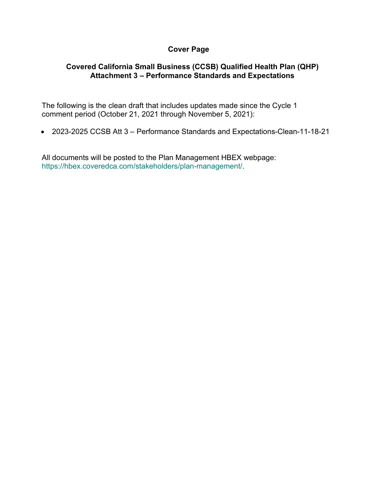## **Cover Page**

## **Covered California Small Business (CCSB) Qualified Health Plan (QHP) Attachment 3 – Performance Standards and Expectations**

The following is the clean draft that includes updates made since the Cycle 1 comment period (October 21, 2021 through November 5, 2021):

• 2023-2025 CCSB Att 3 – Performance Standards and Expectations-Clean-11-18-21

All documents will be posted to the Plan Management HBEX webpage: https://hbex.coveredca.com/stakeholders/plan-management/.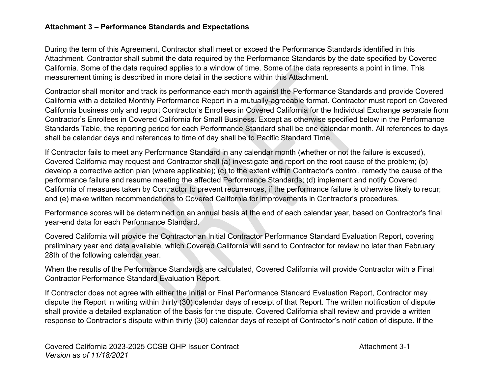## **Attachment 3 – Performance Standards and Expectations**

During the term of this Agreement, Contractor shall meet or exceed the Performance Standards identified in this Attachment. Contractor shall submit the data required by the Performance Standards by the date specified by Covered California. Some of the data required applies to a window of time. Some of the data represents a point in time. This measurement timing is described in more detail in the sections within this Attachment.

Contractor shall monitor and track its performance each month against the Performance Standards and provide Covered California with a detailed Monthly Performance Report in a mutually-agreeable format. Contractor must report on Covered California business only and report Contractor's Enrollees in Covered California for the Individual Exchange separate from Contractor's Enrollees in Covered California for Small Business. Except as otherwise specified below in the Performance Standards Table, the reporting period for each Performance Standard shall be one calendar month. All references to days shall be calendar days and references to time of day shall be to Pacific Standard Time.

If Contractor fails to meet any Performance Standard in any calendar month (whether or not the failure is excused), Covered California may request and Contractor shall (a) investigate and report on the root cause of the problem; (b) develop a corrective action plan (where applicable); (c) to the extent within Contractor's control, remedy the cause of the performance failure and resume meeting the affected Performance Standards; (d) implement and notify Covered California of measures taken by Contractor to prevent recurrences, if the performance failure is otherwise likely to recur; and (e) make written recommendations to Covered California for improvements in Contractor's procedures.

Performance scores will be determined on an annual basis at the end of each calendar year, based on Contractor's final year-end data for each Performance Standard.

Covered California will provide the Contractor an Initial Contractor Performance Standard Evaluation Report, covering preliminary year end data available, which Covered California will send to Contractor for review no later than February 28th of the following calendar year.

When the results of the Performance Standards are calculated, Covered California will provide Contractor with a Final Contractor Performance Standard Evaluation Report.

If Contractor does not agree with either the Initial or Final Performance Standard Evaluation Report, Contractor may dispute the Report in writing within thirty (30) calendar days of receipt of that Report. The written notification of dispute shall provide a detailed explanation of the basis for the dispute. Covered California shall review and provide a written response to Contractor's dispute within thirty (30) calendar days of receipt of Contractor's notification of dispute. If the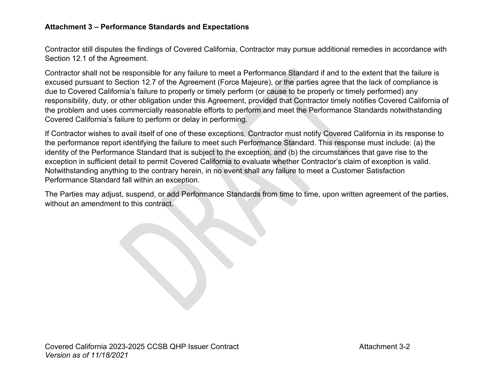## **Attachment 3 – Performance Standards and Expectations**

Contractor still disputes the findings of Covered California, Contractor may pursue additional remedies in accordance with Section 12.1 of the Agreement.

Contractor shall not be responsible for any failure to meet a Performance Standard if and to the extent that the failure is excused pursuant to Section 12.7 of the Agreement (Force Majeure), or the parties agree that the lack of compliance is due to Covered California's failure to properly or timely perform (or cause to be properly or timely performed) any responsibility, duty, or other obligation under this Agreement, provided that Contractor timely notifies Covered California of the problem and uses commercially reasonable efforts to perform and meet the Performance Standards notwithstanding Covered California's failure to perform or delay in performing.

If Contractor wishes to avail itself of one of these exceptions, Contractor must notify Covered California in its response to the performance report identifying the failure to meet such Performance Standard. This response must include: (a) the identity of the Performance Standard that is subject to the exception, and (b) the circumstances that gave rise to the exception in sufficient detail to permit Covered California to evaluate whether Contractor's claim of exception is valid. Notwithstanding anything to the contrary herein, in no event shall any failure to meet a Customer Satisfaction Performance Standard fall within an exception.

The Parties may adjust, suspend, or add Performance Standards from time to time, upon written agreement of the parties, without an amendment to this contract.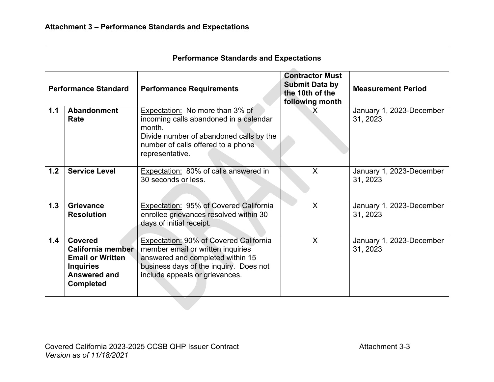| <b>Performance Standards and Expectations</b> |                                                                                                                        |                                                                                                                                                                                             |                                                                                       |                                      |  |  |
|-----------------------------------------------|------------------------------------------------------------------------------------------------------------------------|---------------------------------------------------------------------------------------------------------------------------------------------------------------------------------------------|---------------------------------------------------------------------------------------|--------------------------------------|--|--|
| <b>Performance Standard</b>                   |                                                                                                                        | <b>Performance Requirements</b>                                                                                                                                                             | <b>Contractor Must</b><br><b>Submit Data by</b><br>the 10th of the<br>following month | <b>Measurement Period</b>            |  |  |
| 1.1                                           | <b>Abandonment</b><br>Rate                                                                                             | Expectation: No more than 3% of<br>incoming calls abandoned in a calendar<br>month.<br>Divide number of abandoned calls by the<br>number of calls offered to a phone<br>representative.     | $\sf X$                                                                               | January 1, 2023-December<br>31, 2023 |  |  |
| 1.2                                           | <b>Service Level</b>                                                                                                   | Expectation: 80% of calls answered in<br>30 seconds or less.                                                                                                                                | $\sf X$                                                                               | January 1, 2023-December<br>31, 2023 |  |  |
| 1.3                                           | <b>Grievance</b><br><b>Resolution</b>                                                                                  | Expectation: 95% of Covered California<br>enrollee grievances resolved within 30<br>days of initial receipt.                                                                                | X                                                                                     | January 1, 2023-December<br>31, 2023 |  |  |
| 1.4                                           | <b>Covered</b><br>California member<br><b>Email or Written</b><br><b>Inquiries</b><br>Answered and<br><b>Completed</b> | Expectation: 90% of Covered California<br>member email or written inquiries<br>answered and completed within 15<br>business days of the inquiry. Does not<br>include appeals or grievances. | $\mathsf{X}$                                                                          | January 1, 2023-December<br>31, 2023 |  |  |